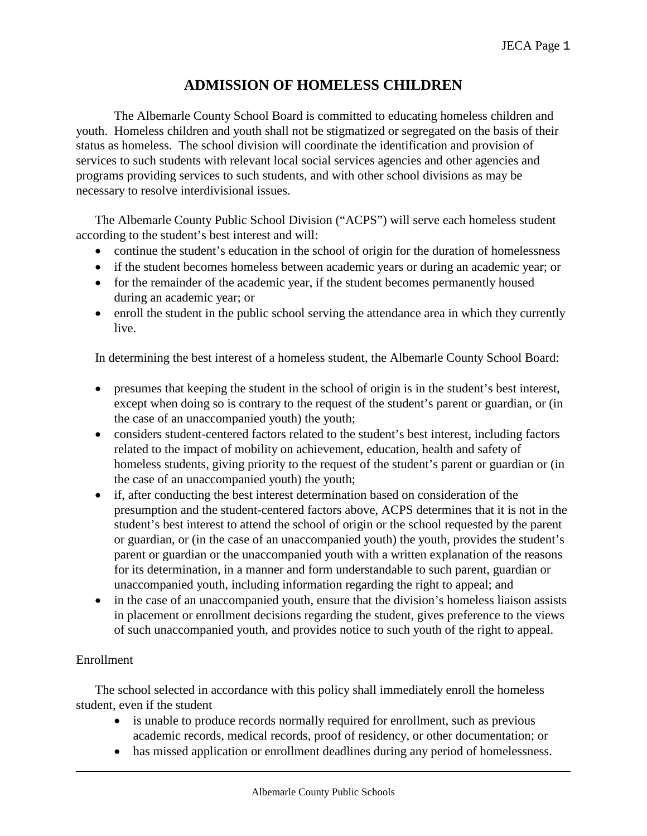# **ADMISSION OF HOMELESS CHILDREN**

The Albemarle County School Board is committed to educating homeless children and youth. Homeless children and youth shall not be stigmatized or segregated on the basis of their status as homeless. The school division will coordinate the identification and provision of services to such students with relevant local social services agencies and other agencies and programs providing services to such students, and with other school divisions as may be necessary to resolve interdivisional issues.

The Albemarle County Public School Division ("ACPS") will serve each homeless student according to the student's best interest and will:

- continue the student's education in the school of origin for the duration of homelessness
- if the student becomes homeless between academic years or during an academic year; or
- for the remainder of the academic year, if the student becomes permanently housed during an academic year; or
- enroll the student in the public school serving the attendance area in which they currently live.

In determining the best interest of a homeless student, the Albemarle County School Board:

- presumes that keeping the student in the school of origin is in the student's best interest, except when doing so is contrary to the request of the student's parent or guardian, or (in the case of an unaccompanied youth) the youth;
- considers student-centered factors related to the student's best interest, including factors related to the impact of mobility on achievement, education, health and safety of homeless students, giving priority to the request of the student's parent or guardian or (in the case of an unaccompanied youth) the youth;
- if, after conducting the best interest determination based on consideration of the presumption and the student-centered factors above, ACPS determines that it is not in the student's best interest to attend the school of origin or the school requested by the parent or guardian, or (in the case of an unaccompanied youth) the youth, provides the student's parent or guardian or the unaccompanied youth with a written explanation of the reasons for its determination, in a manner and form understandable to such parent, guardian or unaccompanied youth, including information regarding the right to appeal; and
- in the case of an unaccompanied youth, ensure that the division's homeless liaison assists in placement or enrollment decisions regarding the student, gives preference to the views of such unaccompanied youth, and provides notice to such youth of the right to appeal.

# Enrollment

The school selected in accordance with this policy shall immediately enroll the homeless student, even if the student

- is unable to produce records normally required for enrollment, such as previous academic records, medical records, proof of residency, or other documentation; or
- has missed application or enrollment deadlines during any period of homelessness.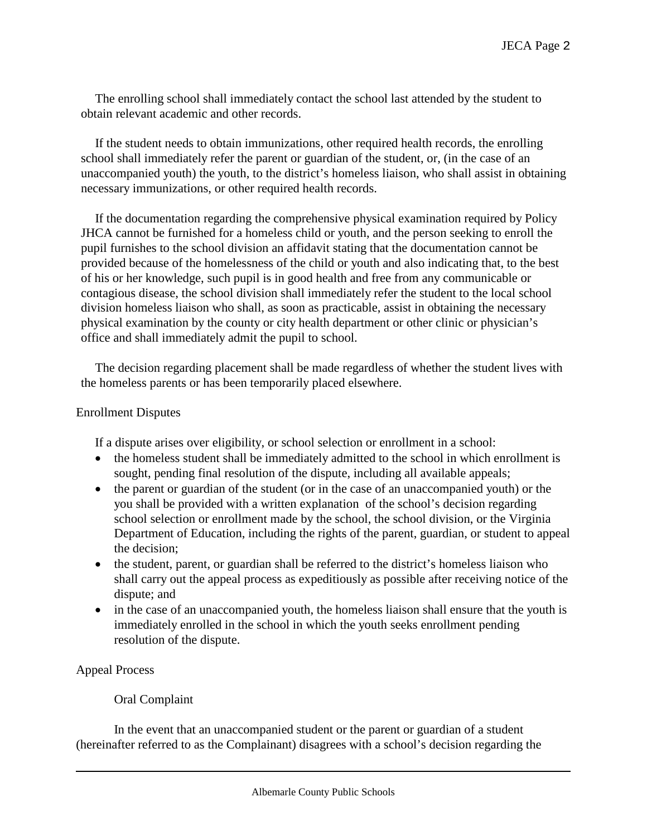The enrolling school shall immediately contact the school last attended by the student to obtain relevant academic and other records.

If the student needs to obtain immunizations, other required health records, the enrolling school shall immediately refer the parent or guardian of the student, or, (in the case of an unaccompanied youth) the youth, to the district's homeless liaison, who shall assist in obtaining necessary immunizations, or other required health records.

If the documentation regarding the comprehensive physical examination required by Policy JHCA cannot be furnished for a homeless child or youth, and the person seeking to enroll the pupil furnishes to the school division an affidavit stating that the documentation cannot be provided because of the homelessness of the child or youth and also indicating that, to the best of his or her knowledge, such pupil is in good health and free from any communicable or contagious disease, the school division shall immediately refer the student to the local school division homeless liaison who shall, as soon as practicable, assist in obtaining the necessary physical examination by the county or city health department or other clinic or physician's office and shall immediately admit the pupil to school.

The decision regarding placement shall be made regardless of whether the student lives with the homeless parents or has been temporarily placed elsewhere.

#### Enrollment Disputes

If a dispute arises over eligibility, or school selection or enrollment in a school:

- the homeless student shall be immediately admitted to the school in which enrollment is sought, pending final resolution of the dispute, including all available appeals;
- the parent or guardian of the student (or in the case of an unaccompanied youth) or the you shall be provided with a written explanation of the school's decision regarding school selection or enrollment made by the school, the school division, or the Virginia Department of Education, including the rights of the parent, guardian, or student to appeal the decision;
- the student, parent, or guardian shall be referred to the district's homeless liaison who shall carry out the appeal process as expeditiously as possible after receiving notice of the dispute; and
- in the case of an unaccompanied youth, the homeless liaison shall ensure that the youth is immediately enrolled in the school in which the youth seeks enrollment pending resolution of the dispute.

# Appeal Process

# Oral Complaint

In the event that an unaccompanied student or the parent or guardian of a student (hereinafter referred to as the Complainant) disagrees with a school's decision regarding the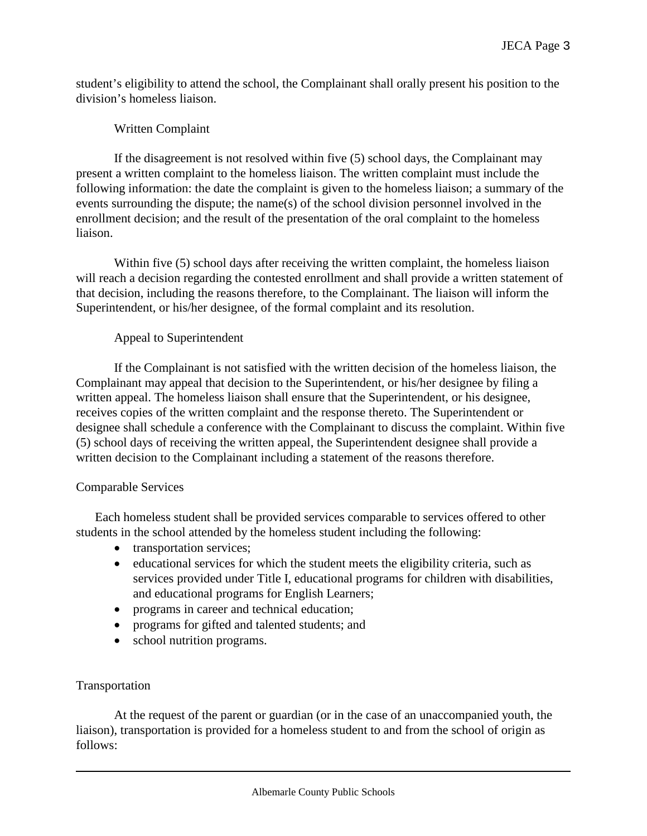student's eligibility to attend the school, the Complainant shall orally present his position to the division's homeless liaison.

### Written Complaint

If the disagreement is not resolved within five (5) school days, the Complainant may present a written complaint to the homeless liaison. The written complaint must include the following information: the date the complaint is given to the homeless liaison; a summary of the events surrounding the dispute; the name(s) of the school division personnel involved in the enrollment decision; and the result of the presentation of the oral complaint to the homeless liaison.

Within five (5) school days after receiving the written complaint, the homeless liaison will reach a decision regarding the contested enrollment and shall provide a written statement of that decision, including the reasons therefore, to the Complainant. The liaison will inform the Superintendent, or his/her designee, of the formal complaint and its resolution.

#### Appeal to Superintendent

If the Complainant is not satisfied with the written decision of the homeless liaison, the Complainant may appeal that decision to the Superintendent, or his/her designee by filing a written appeal. The homeless liaison shall ensure that the Superintendent, or his designee, receives copies of the written complaint and the response thereto. The Superintendent or designee shall schedule a conference with the Complainant to discuss the complaint. Within five (5) school days of receiving the written appeal, the Superintendent designee shall provide a written decision to the Complainant including a statement of the reasons therefore.

#### Comparable Services

Each homeless student shall be provided services comparable to services offered to other students in the school attended by the homeless student including the following:

- transportation services;
- educational services for which the student meets the eligibility criteria, such as services provided under Title I, educational programs for children with disabilities, and educational programs for English Learners;
- programs in career and technical education;
- programs for gifted and talented students; and
- school nutrition programs.

# Transportation

At the request of the parent or guardian (or in the case of an unaccompanied youth, the liaison), transportation is provided for a homeless student to and from the school of origin as follows: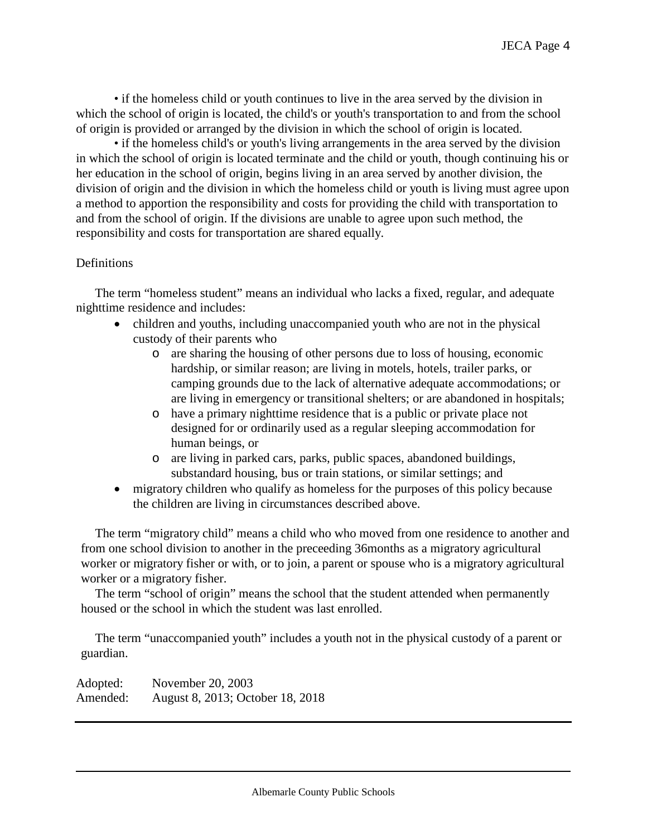• if the homeless child or youth continues to live in the area served by the division in which the school of origin is located, the child's or youth's transportation to and from the school of origin is provided or arranged by the division in which the school of origin is located.

• if the homeless child's or youth's living arrangements in the area served by the division in which the school of origin is located terminate and the child or youth, though continuing his or her education in the school of origin, begins living in an area served by another division, the division of origin and the division in which the homeless child or youth is living must agree upon a method to apportion the responsibility and costs for providing the child with transportation to and from the school of origin. If the divisions are unable to agree upon such method, the responsibility and costs for transportation are shared equally.

#### **Definitions**

The term "homeless student" means an individual who lacks a fixed, regular, and adequate nighttime residence and includes:

- children and youths, including unaccompanied youth who are not in the physical custody of their parents who
	- o are sharing the housing of other persons due to loss of housing, economic hardship, or similar reason; are living in motels, hotels, trailer parks, or camping grounds due to the lack of alternative adequate accommodations; or are living in emergency or transitional shelters; or are abandoned in hospitals;
	- o have a primary nighttime residence that is a public or private place not designed for or ordinarily used as a regular sleeping accommodation for human beings, or
	- o are living in parked cars, parks, public spaces, abandoned buildings, substandard housing, bus or train stations, or similar settings; and
- migratory children who qualify as homeless for the purposes of this policy because the children are living in circumstances described above.

The term "migratory child" means a child who who moved from one residence to another and from one school division to another in the preceeding 36months as a migratory agricultural worker or migratory fisher or with, or to join, a parent or spouse who is a migratory agricultural worker or a migratory fisher.

The term "school of origin" means the school that the student attended when permanently housed or the school in which the student was last enrolled.

The term "unaccompanied youth" includes a youth not in the physical custody of a parent or guardian.

Adopted: November 20, 2003 Amended: August 8, 2013; October 18, 2018